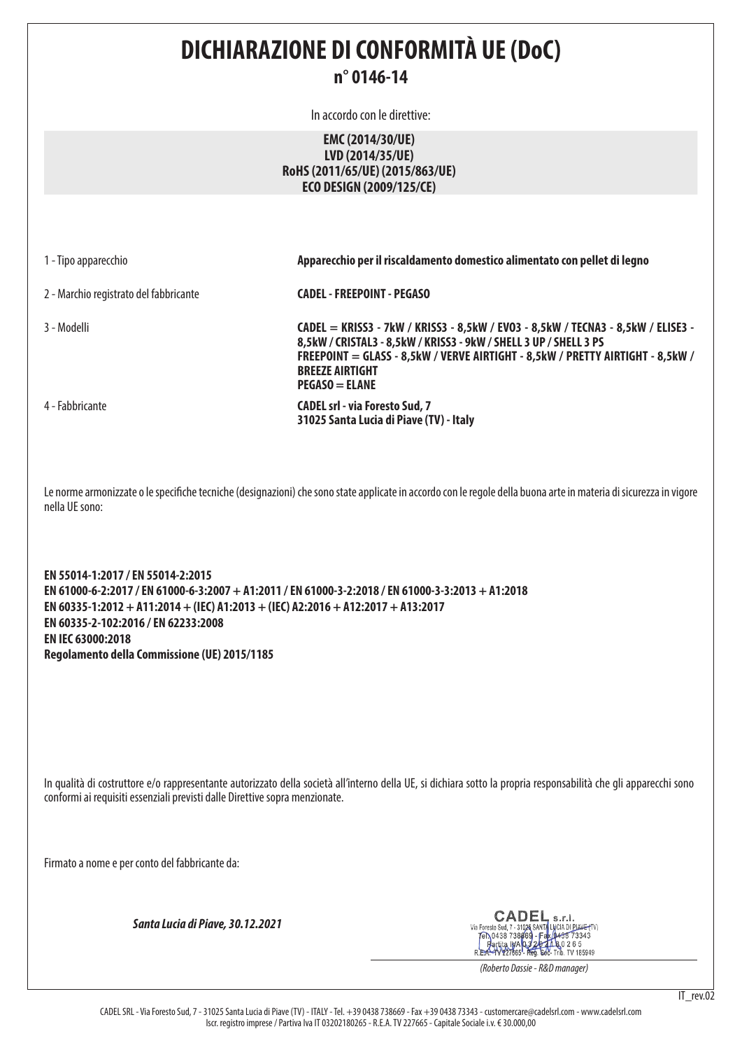# **DICHIARAZIONE DI CONFORMITÀ UE (DoC)**

## **n° 0146-14**

In accordo con le direttive:

## **EMC (2014/30/UE) LVD (2014/35/UE) RoHS (2011/65/UE) (2015/863/UE) ECO DESIGN (2009/125/CE)**

|  |  |  |  | 1 - Tipo apparecchio |
|--|--|--|--|----------------------|
|--|--|--|--|----------------------|

2 - Marchio registrato del fabbricante **CADEL - FREEPOINT - PEGASO**

3 - Modelli **CADEL = KRISS3 - 7kW / KRISS3 - 8,5kW / EVO3 - 8,5kW / TECNA3 - 8,5kW / ELISE3 - 8,5kW / CRISTAL3 - 8,5kW / KRISS3 - 9kW / SHELL 3 UP / SHELL 3 PS FREEPOINT = GLASS - 8,5kW / VERVE AIRTIGHT - 8,5kW / PRETTY AIRTIGHT - 8,5kW / BREEZE AIRTIGHT PEGASO = ELANE**  4 - Fabbricante **CADEL srl - via Foresto Sud, 7 31025 Santa Lucia di Piave (TV) - Italy**

1 - Tipo apparecchio **Apparecchio per il riscaldamento domestico alimentato con pellet di legno**

Le norme armonizzate o le specifiche tecniche (designazioni) che sono state applicate in accordo con le regole della buona arte in materia di sicurezza in vigore nella UE sono:

**EN 55014-1:2017 / EN 55014-2:2015 EN 61000-6-2:2017 / EN 61000-6-3:2007 + A1:2011 / EN 61000-3-2:2018 / EN 61000-3-3:2013 + A1:2018 EN 60335-1:2012 + A11:2014 + (IEC) A1:2013 + (IEC) A2:2016 + A12:2017 + A13:2017 EN 60335-2-102:2016 / EN 62233:2008 EN IEC 63000:2018 Regolamento della Commissione (UE) 2015/1185**

In qualità di costruttore e/o rappresentante autorizzato della società all'interno della UE, si dichiara sotto la propria responsabilità che gli apparecchi sono conformi ai requisiti essenziali previsti dalle Direttive sopra menzionate.

Firmato a nome e per conto del fabbricante da:

*Santa Lucia di Piave, 30.12.2021*

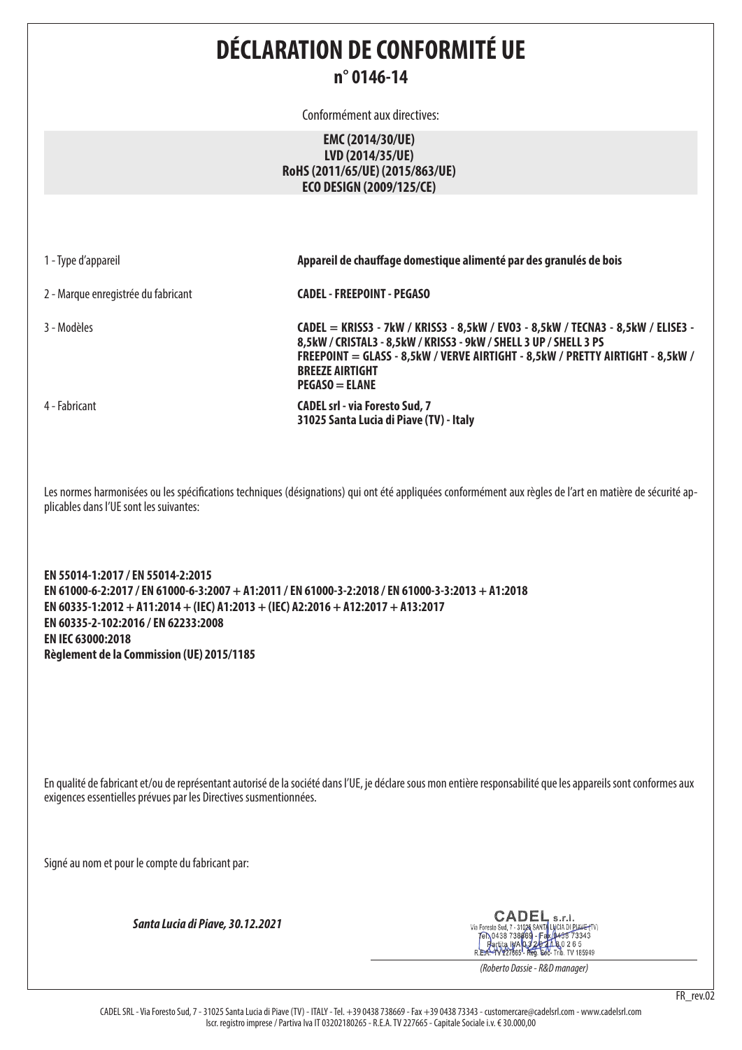# **DÉCLARATION DE CONFORMITÉ UE n° 0146-14**

Conformément aux directives:

### **EMC (2014/30/UE) LVD (2014/35/UE) RoHS (2011/65/UE) (2015/863/UE) ECO DESIGN (2009/125/CE)**

|  |  |  | 1 - Type d'appareil |
|--|--|--|---------------------|
|--|--|--|---------------------|

2 - Marque enregistrée du fabricant **CADEL - FREEPOINT - PEGASO**

3 - Modèles **CADEL = KRISS3 - 7kW / KRISS3 - 8,5kW / EVO3 - 8,5kW / TECNA3 - 8,5kW / ELISE3 - 8,5kW / CRISTAL3 - 8,5kW / KRISS3 - 9kW / SHELL 3 UP / SHELL 3 PS FREEPOINT = GLASS - 8,5kW / VERVE AIRTIGHT - 8,5kW / PRETTY AIRTIGHT - 8,5kW / BREEZE AIRTIGHT PEGASO = ELANE**  4 - Fabricant **CADEL srl - via Foresto Sud, 7** 

Appareil de chauffage domestique alimenté par des granulés de bois

**31025 Santa Lucia di Piave (TV) - Italy**

Les normes harmonisées ou les spécifications techniques (désignations) qui ont été appliquées conformément aux règles de l'art en matière de sécurité applicables dans l'UE sont les suivantes:

**EN 55014-1:2017 / EN 55014-2:2015 EN 61000-6-2:2017 / EN 61000-6-3:2007 + A1:2011 / EN 61000-3-2:2018 / EN 61000-3-3:2013 + A1:2018 EN 60335-1:2012 + A11:2014 + (IEC) A1:2013 + (IEC) A2:2016 + A12:2017 + A13:2017 EN 60335-2-102:2016 / EN 62233:2008 EN IEC 63000:2018 Règlement de la Commission (UE) 2015/1185**

En qualité de fabricant et/ou de représentant autorisé de la société dans l'UE, je déclare sous mon entière responsabilité que les appareils sont conformes aux exigences essentielles prévues par les Directives susmentionnées.

Signé au nom et pour le compte du fabricant par:

*Santa Lucia di Piave, 30.12.2021*

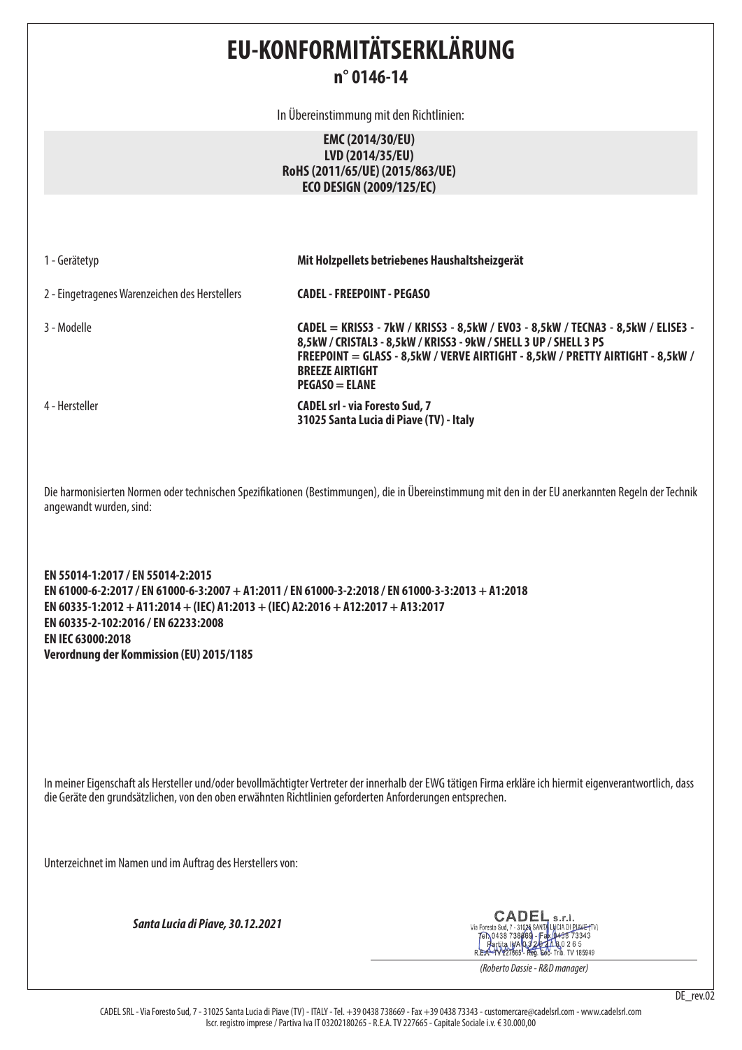# **EU-KONFORMITÄTSERKLÄRUNG n° 0146-14**

In Übereinstimmung mit den Richtlinien:

**EMC (2014/30/EU) LVD (2014/35/EU) RoHS (2011/65/UE) (2015/863/UE) ECO DESIGN (2009/125/EC)**

|  | 1 - Gerätetyp |  |
|--|---------------|--|
|--|---------------|--|

1 - Gerätetyp **Mit Holzpellets betriebenes Haushaltsheizgerät**

2 - Eingetragenes Warenzeichen des Herstellers **CADEL - FREEPOINT - PEGASO**

3 - Modelle **CADEL = KRISS3 - 7kW / KRISS3 - 8,5kW / EVO3 - 8,5kW / TECNA3 - 8,5kW / ELISE3 - 8,5kW / CRISTAL3 - 8,5kW / KRISS3 - 9kW / SHELL 3 UP / SHELL 3 PS FREEPOINT = GLASS - 8,5kW / VERVE AIRTIGHT - 8,5kW / PRETTY AIRTIGHT - 8,5kW / BREEZE AIRTIGHT PEGASO = ELANE**  4 - Hersteller **CADEL srl - via Foresto Sud, 7** 

**31025 Santa Lucia di Piave (TV) - Italy**

Die harmonisierten Normen oder technischen Spezifikationen (Bestimmungen), die in Übereinstimmung mit den in der EU anerkannten Regeln der Technik angewandt wurden, sind:

**EN 55014-1:2017 / EN 55014-2:2015 EN 61000-6-2:2017 / EN 61000-6-3:2007 + A1:2011 / EN 61000-3-2:2018 / EN 61000-3-3:2013 + A1:2018 EN 60335-1:2012 + A11:2014 + (IEC) A1:2013 + (IEC) A2:2016 + A12:2017 + A13:2017 EN 60335-2-102:2016 / EN 62233:2008 EN IEC 63000:2018 Verordnung der Kommission (EU) 2015/1185**

In meiner Eigenschaft als Hersteller und/oder bevollmächtigter Vertreter der innerhalb der EWG tätigen Firma erkläre ich hiermit eigenverantwortlich, dass die Geräte den grundsätzlichen, von den oben erwähnten Richtlinien geforderten Anforderungen entsprechen.

Unterzeichnet im Namen und im Auftrag des Herstellers von:

*Santa Lucia di Piave, 30.12.2021*

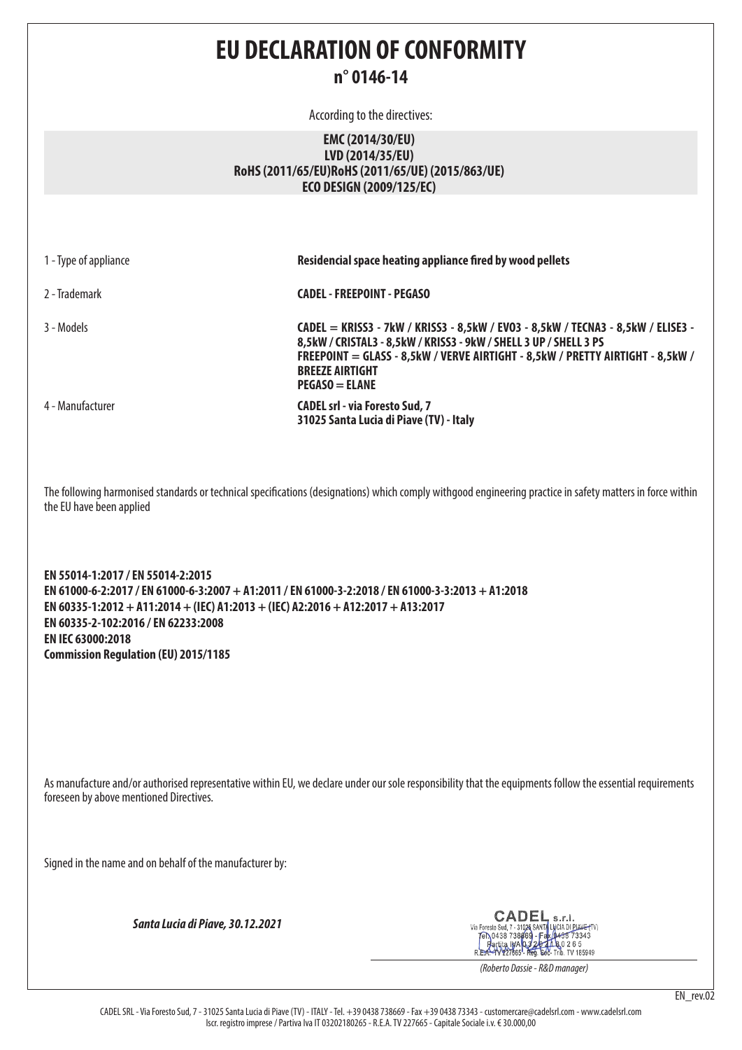# **EU DECLARATION OF CONFORMITY n° 0146-14**

According to the directives:

### **EMC (2014/30/EU) LVD (2014/35/EU) RoHS (2011/65/EU)RoHS (2011/65/UE) (2015/863/UE) ECO DESIGN (2009/125/EC)**

| 1 - Type of appliance    | Residencial space heating appliance fired by wood pellets                                                                                                                                                                                                                             |
|--------------------------|---------------------------------------------------------------------------------------------------------------------------------------------------------------------------------------------------------------------------------------------------------------------------------------|
| 2 - Trademark            | <b>CADEL - FREEPOINT - PEGASO</b>                                                                                                                                                                                                                                                     |
| 3 - Models               | CADEL = KRISS3 - 7kW / KRISS3 - 8,5kW / EVO3 - 8,5kW / TECNA3 - 8,5kW / ELISE3 -<br>8,5kW / CRISTAL3 - 8,5kW / KRISS3 - 9kW / SHELL 3 UP / SHELL 3 PS<br>FREEPOINT = GLASS - 8,5kW / VERVE AIRTIGHT - 8,5kW / PRETTY AIRTIGHT - 8,5kW /<br><b>BREEZE AIRTIGHT</b><br>$PEGASO = FLANE$ |
| 4 - Manufacturer         | <b>CADEL srl - via Foresto Sud, 7</b><br>31025 Santa Lucia di Piave (TV) - Italy                                                                                                                                                                                                      |
| the EU have been applied | The following harmonised standards or technical specifications (designations) which comply withgood engineering practice in safety matters in force within                                                                                                                            |

**EN 55014-1:2017 / EN 55014-2:2015 EN 61000-6-2:2017 / EN 61000-6-3:2007 + A1:2011 / EN 61000-3-2:2018 / EN 61000-3-3:2013 + A1:2018 EN 60335-1:2012 + A11:2014 + (IEC) A1:2013 + (IEC) A2:2016 + A12:2017 + A13:2017 EN 60335-2-102:2016 / EN 62233:2008 EN IEC 63000:2018 Commission Regulation (EU) 2015/1185**

As manufacture and/or authorised representative within EU, we declare under our sole responsibility that the equipments follow the essential requirements foreseen by above mentioned Directives.

Signed in the name and on behalf of the manufacturer by:

*Santa Lucia di Piave, 30.12.2021*

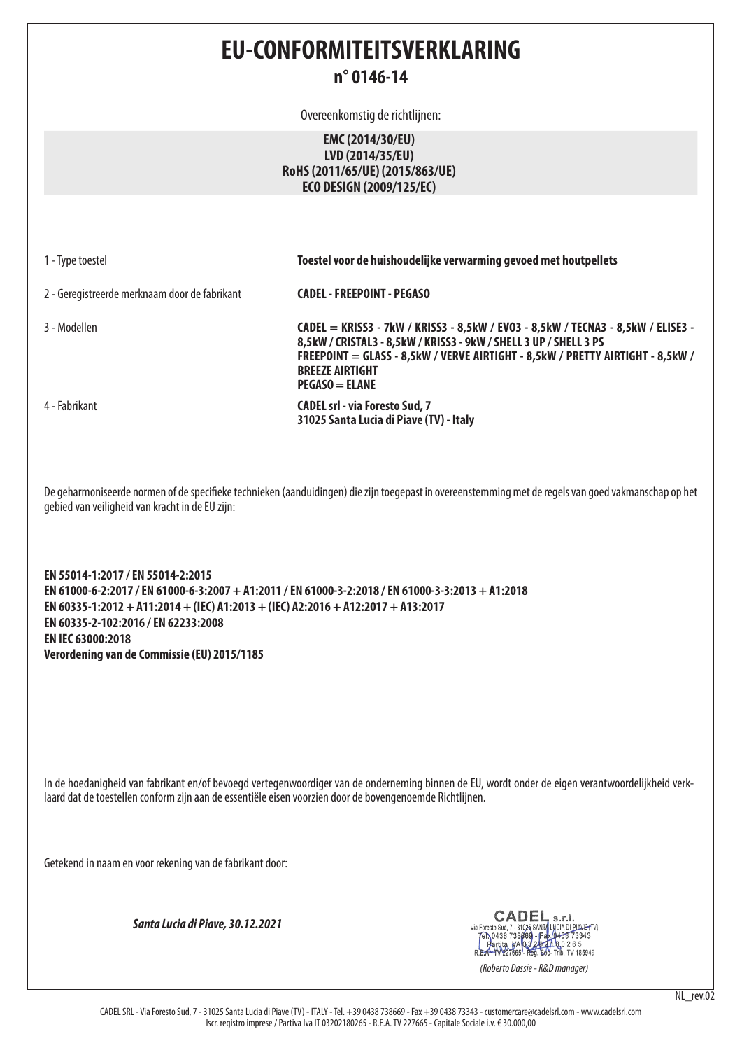# **EU-CONFORMITEITSVERKLARING n° 0146-14**

Overeenkomstig de richtlijnen:

### **EMC (2014/30/EU) LVD (2014/35/EU) RoHS (2011/65/UE) (2015/863/UE) ECO DESIGN (2009/125/EC)**

|  |  | 1 - Type toestel |  |
|--|--|------------------|--|
|--|--|------------------|--|

**Toestel voor de huishoudelijke verwarming gevoed met houtpellets** 

2 - Geregistreerde merknaam door de fabrikant **CADEL - FREEPOINT - PEGASO**

3 - Modellen **CADEL = KRISS3 - 7kW / KRISS3 - 8,5kW / EVO3 - 8,5kW / TECNA3 - 8,5kW / ELISE3 - 8,5kW / CRISTAL3 - 8,5kW / KRISS3 - 9kW / SHELL 3 UP / SHELL 3 PS FREEPOINT = GLASS - 8,5kW / VERVE AIRTIGHT - 8,5kW / PRETTY AIRTIGHT - 8,5kW / BREEZE AIRTIGHT PEGASO = ELANE**  4 - Fabrikant **CADEL srl - via Foresto Sud, 7 31025 Santa Lucia di Piave (TV) - Italy**

De geharmoniseerde normen of de specifieke technieken (aanduidingen) die zijn toegepast in overeenstemming met de regels van goed vakmanschap op het gebied van veiligheid van kracht in de EU zijn:

**EN 55014-1:2017 / EN 55014-2:2015 EN 61000-6-2:2017 / EN 61000-6-3:2007 + A1:2011 / EN 61000-3-2:2018 / EN 61000-3-3:2013 + A1:2018 EN 60335-1:2012 + A11:2014 + (IEC) A1:2013 + (IEC) A2:2016 + A12:2017 + A13:2017 EN 60335-2-102:2016 / EN 62233:2008 EN IEC 63000:2018 Verordening van de Commissie (EU) 2015/1185**

In de hoedanigheid van fabrikant en/of bevoegd vertegenwoordiger van de onderneming binnen de EU, wordt onder de eigen verantwoordelijkheid verklaard dat de toestellen conform zijn aan de essentiële eisen voorzien door de bovengenoemde Richtlijnen.

Getekend in naam en voor rekening van de fabrikant door:

*Santa Lucia di Piave, 30.12.2021*

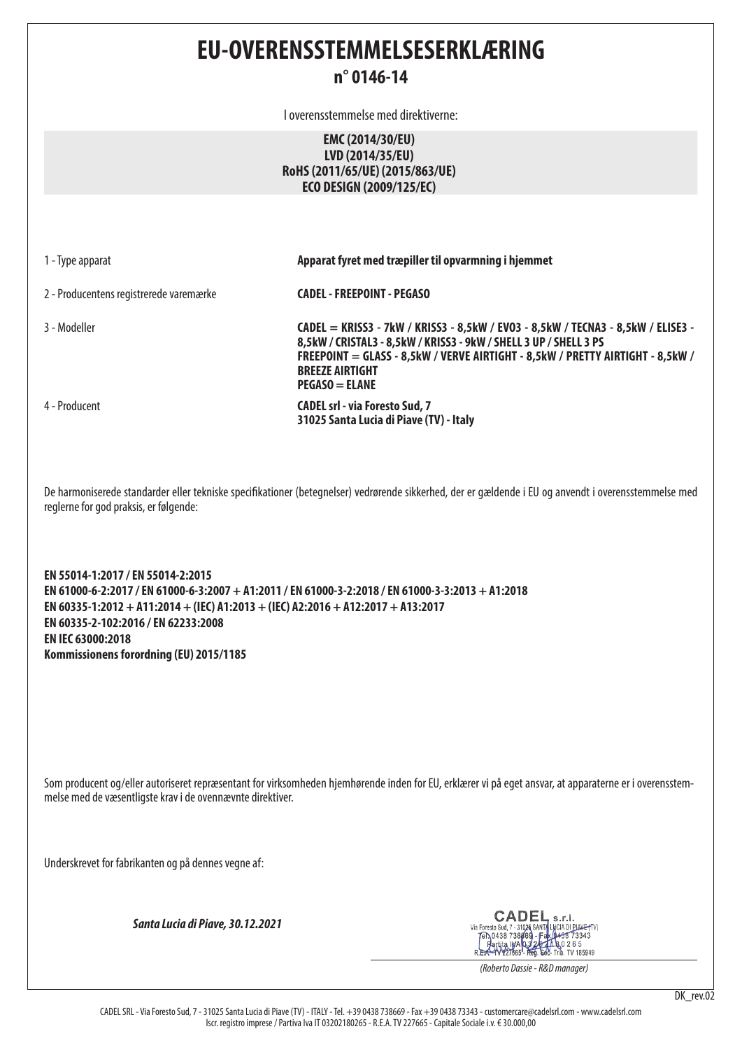**EU-OVERENSSTEMMELSESERKLÆRING**

## **n° 0146-14**

I overensstemmelse med direktiverne:

**EMC (2014/30/EU) LVD (2014/35/EU) RoHS (2011/65/UE) (2015/863/UE) ECO DESIGN (2009/125/EC)**

1 - Type apparat **Apparat fyret med træpiller til opvarmning i hjemmet**

2 - Producentens registrerede varemærke **CADEL - FREEPOINT - PEGASO**

3 - Modeller **CADEL = KRISS3 - 7kW / KRISS3 - 8,5kW / EVO3 - 8,5kW / TECNA3 - 8,5kW / ELISE3 - 8,5kW / CRISTAL3 - 8,5kW / KRISS3 - 9kW / SHELL 3 UP / SHELL 3 PS FREEPOINT = GLASS - 8,5kW / VERVE AIRTIGHT - 8,5kW / PRETTY AIRTIGHT - 8,5kW / BREEZE AIRTIGHT PEGASO = ELANE**  4 - Producent **CADEL srl - via Foresto Sud, 7** 

**31025 Santa Lucia di Piave (TV) - Italy**

De harmoniserede standarder eller tekniske specifikationer (betegnelser) vedrørende sikkerhed, der er gældende i EU og anvendt i overensstemmelse med reglerne for god praksis, er følgende:

**EN 55014-1:2017 / EN 55014-2:2015 EN 61000-6-2:2017 / EN 61000-6-3:2007 + A1:2011 / EN 61000-3-2:2018 / EN 61000-3-3:2013 + A1:2018 EN 60335-1:2012 + A11:2014 + (IEC) A1:2013 + (IEC) A2:2016 + A12:2017 + A13:2017 EN 60335-2-102:2016 / EN 62233:2008 EN IEC 63000:2018 Kommissionens forordning (EU) 2015/1185**

Som producent og/eller autoriseret repræsentant for virksomheden hjemhørende inden for EU, erklærer vi på eget ansvar, at apparaterne er i overensstemmelse med de væsentligste krav i de ovennævnte direktiver.

Underskrevet for fabrikanten og på dennes vegne af:

*Santa Lucia di Piave, 30.12.2021*

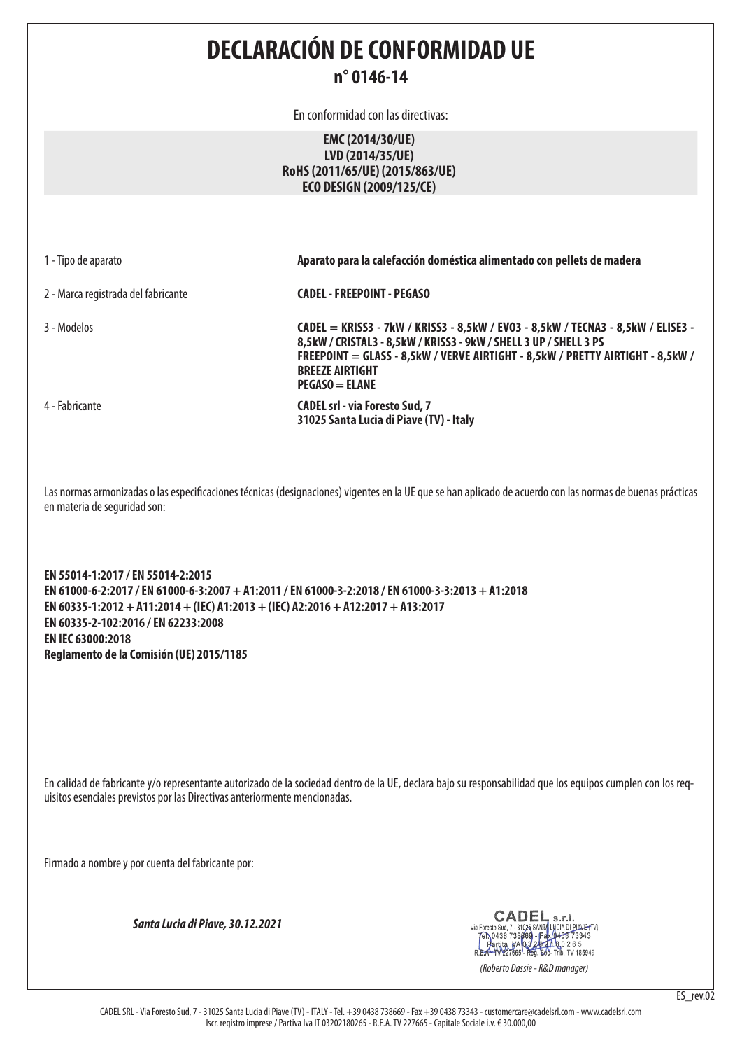**DECLARACIÓN DE CONFORMIDAD UE**

# **n° 0146-14**

En conformidad con las directivas:

### **EMC (2014/30/UE) LVD (2014/35/UE) RoHS (2011/65/UE) (2015/863/UE) ECO DESIGN (2009/125/CE)**

| 1 - Tipo de aparato |  |
|---------------------|--|
|---------------------|--|

2 - Marca registrada del fabricante **CADEL - FREEPOINT - PEGASO**

3 - Modelos **CADEL = KRISS3 - 7kW / KRISS3 - 8,5kW / EVO3 - 8,5kW / TECNA3 - 8,5kW / ELISE3 - 8,5kW / CRISTAL3 - 8,5kW / KRISS3 - 9kW / SHELL 3 UP / SHELL 3 PS FREEPOINT = GLASS - 8,5kW / VERVE AIRTIGHT - 8,5kW / PRETTY AIRTIGHT - 8,5kW / BREEZE AIRTIGHT PEGASO = ELANE**  4 - Fabricante **CADEL srl - via Foresto Sud, 7 31025 Santa Lucia di Piave (TV) - Italy**

1 - Tipo de aparato **Aparato para la calefacción doméstica alimentado con pellets de madera**

Las normas armonizadas o las especificaciones técnicas (designaciones) vigentes en la UE que se han aplicado de acuerdo con las normas de buenas prácticas en materia de seguridad son:

**EN 55014-1:2017 / EN 55014-2:2015 EN 61000-6-2:2017 / EN 61000-6-3:2007 + A1:2011 / EN 61000-3-2:2018 / EN 61000-3-3:2013 + A1:2018 EN 60335-1:2012 + A11:2014 + (IEC) A1:2013 + (IEC) A2:2016 + A12:2017 + A13:2017 EN 60335-2-102:2016 / EN 62233:2008 EN IEC 63000:2018 Reglamento de la Comisión (UE) 2015/1185**

En calidad de fabricante y/o representante autorizado de la sociedad dentro de la UE, declara bajo su responsabilidad que los equipos cumplen con los requisitos esenciales previstos por las Directivas anteriormente mencionadas.

Firmado a nombre y por cuenta del fabricante por:

*Santa Lucia di Piave, 30.12.2021*

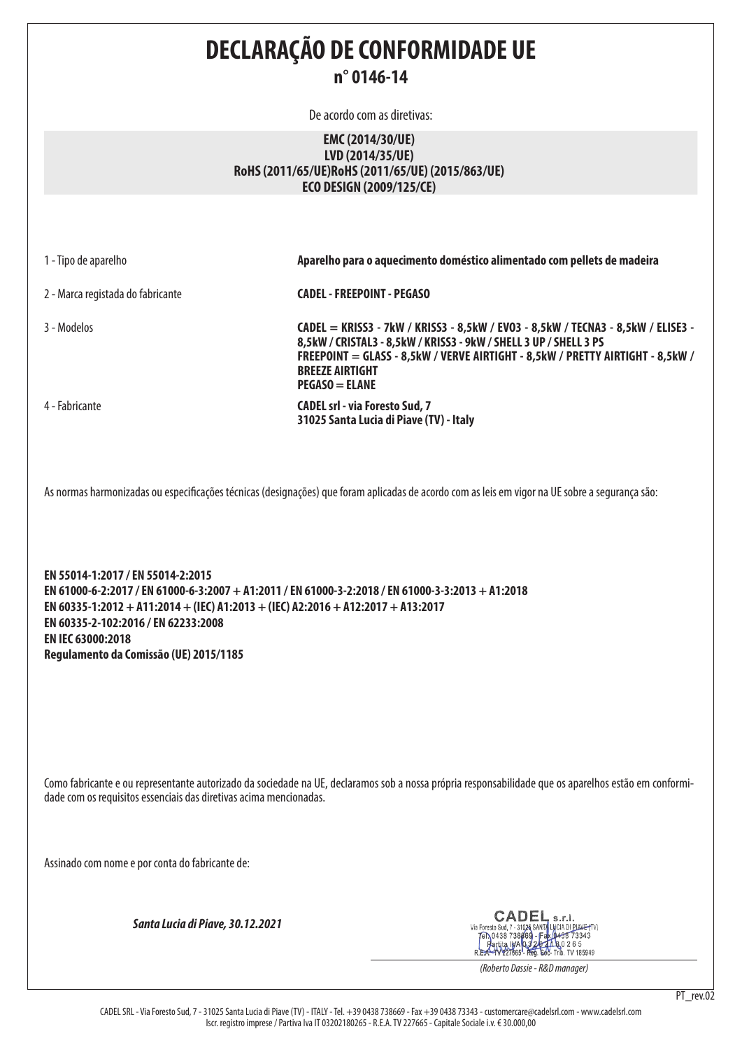**DECLARAÇÃO DE CONFORMIDADE UE n° 0146-14**

De acordo com as diretivas:

#### **EMC (2014/30/UE) LVD (2014/35/UE) RoHS (2011/65/UE)RoHS (2011/65/UE) (2015/863/UE) ECO DESIGN (2009/125/CE)**

| 1 - Tipo de aparelho                                                                                                                                                                                                                                                                                                             | Aparelho para o aquecimento doméstico alimentado com pellets de madeira                                                                                                                                                                                                                    |  |  |
|----------------------------------------------------------------------------------------------------------------------------------------------------------------------------------------------------------------------------------------------------------------------------------------------------------------------------------|--------------------------------------------------------------------------------------------------------------------------------------------------------------------------------------------------------------------------------------------------------------------------------------------|--|--|
| 2 - Marca registada do fabricante                                                                                                                                                                                                                                                                                                | <b>CADEL - FREEPOINT - PEGASO</b>                                                                                                                                                                                                                                                          |  |  |
| 3 - Modelos                                                                                                                                                                                                                                                                                                                      | CADEL = KRISS3 - 7kW / KRISS3 - 8,5kW / EVO3 - 8,5kW / TECNA3 - 8,5kW / ELISE3 -<br>8,5kW / CRISTAL3 - 8,5kW / KRISS3 - 9kW / SHELL 3 UP / SHELL 3 PS<br>FREEPOINT = GLASS - 8,5kW / VERVE AIRTIGHT - 8,5kW / PRETTY AIRTIGHT - 8,5kW /<br><b>BREEZE AIRTIGHT</b><br><b>PEGASO = ELANE</b> |  |  |
| 4 - Fabricante                                                                                                                                                                                                                                                                                                                   | <b>CADEL srl - via Foresto Sud, 7</b><br>31025 Santa Lucia di Piave (TV) - Italy                                                                                                                                                                                                           |  |  |
|                                                                                                                                                                                                                                                                                                                                  | As normas harmonizadas ou especificações técnicas (designações) que foram aplicadas de acordo com as leis em vigor na UE sobre a segurança são:                                                                                                                                            |  |  |
| EN 55014-1:2017 / EN 55014-2:2015<br>EN 61000-6-2:2017 / EN 61000-6-3:2007 + A1:2011 / EN 61000-3-2:2018 / EN 61000-3-3:2013 + A1:2018<br>EN 60335-1:2012 + A11:2014 + (IEC) A1:2013 + (IEC) A2:2016 + A12:2017 + A13:2017<br>EN 60335-2-102:2016 / EN 62233:2008<br>EN IEC 63000:2018<br>Regulamento da Comissão (UE) 2015/1185 |                                                                                                                                                                                                                                                                                            |  |  |
| Como fabricante e ou representante autorizado da sociedade na UE, declaramos sob a nossa própria responsabilidade que os aparelhos estão em conformi-<br>dade com os requisitos essenciais das diretivas acima mencionadas.                                                                                                      |                                                                                                                                                                                                                                                                                            |  |  |
| Assinado com nome e por conta do fabricante de:                                                                                                                                                                                                                                                                                  |                                                                                                                                                                                                                                                                                            |  |  |
| Santa Lucia di Piave, 30.12.2021                                                                                                                                                                                                                                                                                                 | <b>CADEL</b> s.r.l.<br>Via Foresto Sud, 7 - 31026 SANTA LYCIA DI PIANE-FTV)<br>FR\0438 738669 - Fax (0438 73343<br>Fartita IWA 0320 10 80 265                                                                                                                                              |  |  |

*(Roberto Dassie - R&D manager)*

CADEL SRL - Via Foresto Sud, 7 - 31025 Santa Lucia di Piave (TV) - ITALY - Tel. +39 0438 738669 - Fax +39 0438 73343 - customercare@cadelsrl.com - www.cadelsrl.com Iscr. registro imprese / Partiva Iva IT 03202180265 - R.E.A. TV 227665 - Capitale Sociale i.v. € 30.000,00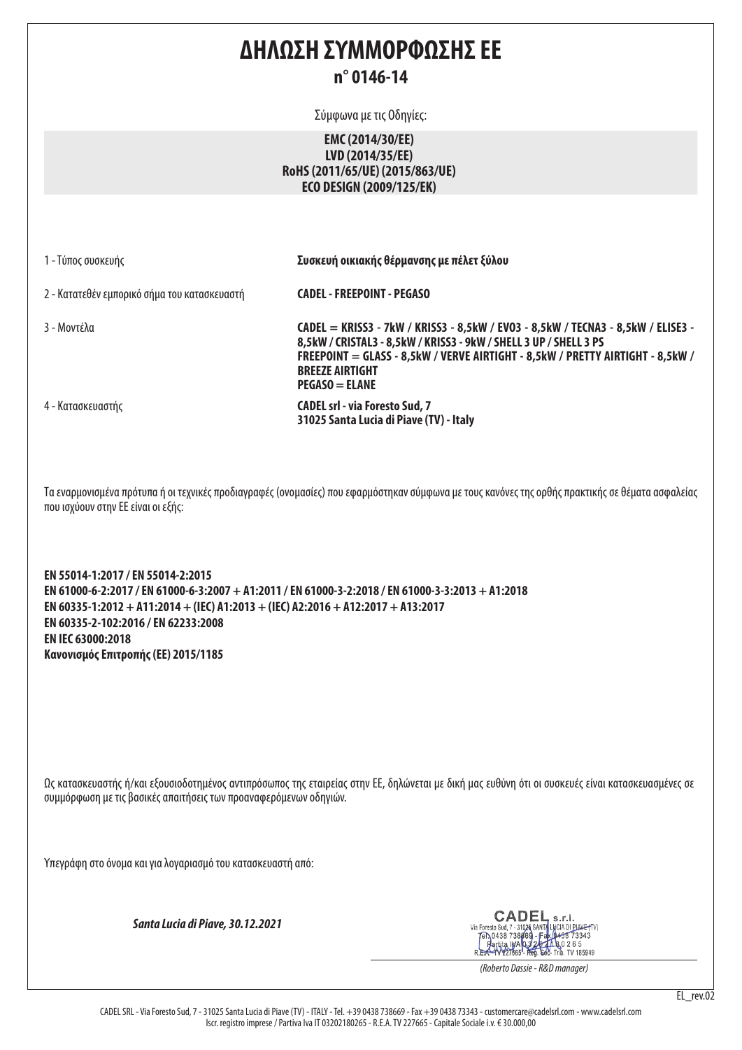# **ΔΗΛΩΣΗ ΣΥΜΜΟΡΦΩΣΗΣ ΕΕ n° 0146-14**

Σύμφωνα με τις Οδηγίες:

## **EMC (2014/30/EE) LVD (2014/35/EE) RoHS (2011/65/UE) (2015/863/UE) ECO DESIGN (2009/125/EK)**

|  |  |  |  | 1 - Τύπος συσκευής |
|--|--|--|--|--------------------|
|--|--|--|--|--------------------|

Συσκευή οικιακής θέρμανσης με πέλετ ξύλου

2 - Κατατεθέν εμπορικό σήμα του κατασκευαστή **CADEL - FREEPOINT - PEGASO**

3 - Μοντέλα **CADEL = KRISS3 - 7kW / KRISS3 - 8,5kW / EVO3 - 8,5kW / TECNA3 - 8,5kW / ELISE3 - 8,5kW / CRISTAL3 - 8,5kW / KRISS3 - 9kW / SHELL 3 UP / SHELL 3 PS FREEPOINT = GLASS - 8,5kW / VERVE AIRTIGHT - 8,5kW / PRETTY AIRTIGHT - 8,5kW / BREEZE AIRTIGHT PEGASO = ELANE**  4 - Κατασκευαστής **CADEL srl - via Foresto Sud, 7** 

Τα εναρμονισμένα πρότυπα ή οι τεχνικές προδιαγραφές (ονομασίες) που εφαρμόστηκαν σύμφωνα με τους κανόνες της ορθής πρακτικής σε θέματα ασφαλείας που ισχύουν στην ΕΕ είναι οι εξής:

**31025 Santa Lucia di Piave (TV) - Italy**

**EN 55014-1:2017 / EN 55014-2:2015 EN 61000-6-2:2017 / EN 61000-6-3:2007 + A1:2011 / EN 61000-3-2:2018 / EN 61000-3-3:2013 + A1:2018 EN 60335-1:2012 + A11:2014 + (IEC) A1:2013 + (IEC) A2:2016 + A12:2017 + A13:2017 EN 60335-2-102:2016 / EN 62233:2008 EN IEC 63000:2018 Κανονισμός Επιτροπής (ΕΕ) 2015/1185**

Ως κατασκευαστής ή/και εξουσιοδοτημένος αντιπρόσωπος της εταιρείας στην ΕΕ, δηλώνεται με δική μας ευθύνη ότι οι συσκευές είναι κατασκευασμένες σε συμμόρφωση με τις βασικές απαιτήσεις των προαναφερόμενων οδηγιών.

Υπεγράφη στο όνομα και για λογαριασμό του κατασκευαστή από:

*Santa Lucia di Piave, 30.12.2021*

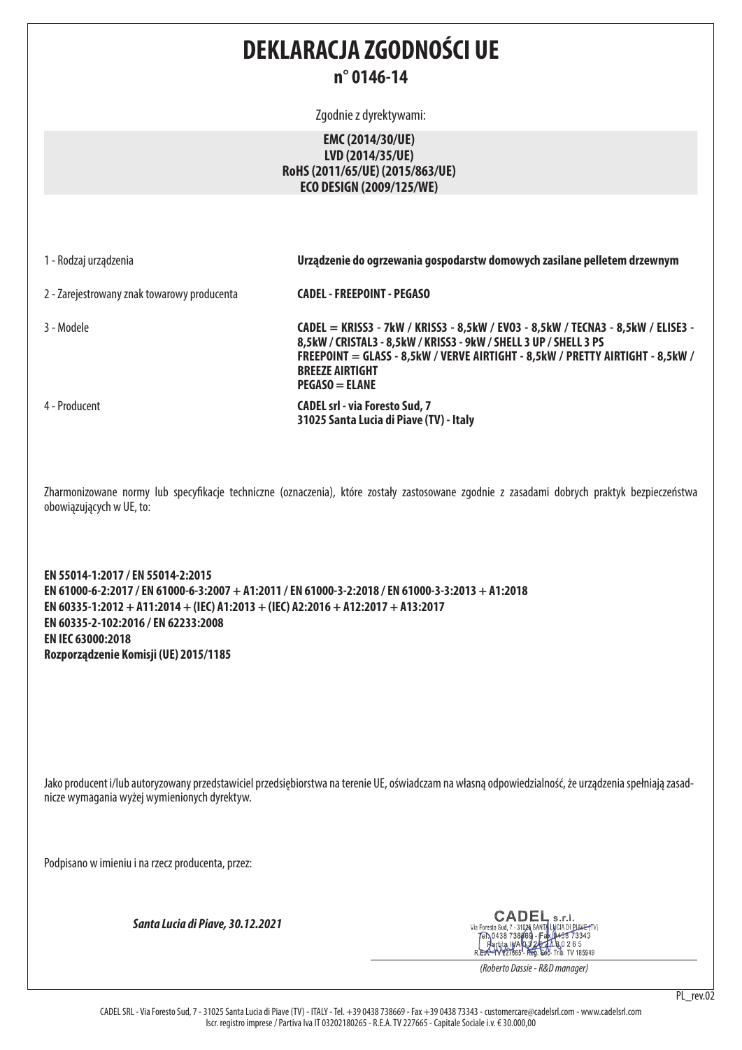# **DEKLARACJA ZGODNOŚCI UE n° 0146-14**

Zgodnie z dyrektywami:

## **EMC (2014/30/UE) LVD (2014/35/UE) RoHS (2011/65/UE) (2015/863/UE) ECO DESIGN (2009/125/WE)**

1 - Rodzaj urządzenia **Urządzenie do ogrzewania gospodarstw domowych zasilane pelletem drzewnym**

2 - Zarejestrowany znak towarowy producenta **CADEL - FREEPOINT - PEGASO**

3 - Modele **CADEL = KRISS3 - 7kW / KRISS3 - 8,5kW / EVO3 - 8,5kW / TECNA3 - 8,5kW / ELISE3 - 8,5kW / CRISTAL3 - 8,5kW / KRISS3 - 9kW / SHELL 3 UP / SHELL 3 PS FREEPOINT = GLASS - 8,5kW / VERVE AIRTIGHT - 8,5kW / PRETTY AIRTIGHT - 8,5kW / BREEZE AIRTIGHT PEGASO = ELANE**  4 - Producent **CADEL srl - via Foresto Sud, 7** 

**31025 Santa Lucia di Piave (TV) - Italy**

Zharmonizowane normy lub specyfikacje techniczne (oznaczenia), które zostały zastosowane zgodnie z zasadami dobrych praktyk bezpieczeństwa obowiązujących w UE, to:

**EN 55014-1:2017 / EN 55014-2:2015 EN 61000-6-2:2017 / EN 61000-6-3:2007 + A1:2011 / EN 61000-3-2:2018 / EN 61000-3-3:2013 + A1:2018 EN 60335-1:2012 + A11:2014 + (IEC) A1:2013 + (IEC) A2:2016 + A12:2017 + A13:2017 EN 60335-2-102:2016 / EN 62233:2008 EN IEC 63000:2018 Rozporządzenie Komisji (UE) 2015/1185**

Jako producent i/lub autoryzowany przedstawiciel przedsiębiorstwa na terenie UE, oświadczam na własną odpowiedzialność, że urządzenia spełniają zasadnicze wymagania wyżej wymienionych dyrektyw.

Podpisano w imieniu i na rzecz producenta, przez:

*Santa Lucia di Piave, 30.12.2021*



*(Roberto Dassie - R&D manager)*

PL\_rev.02